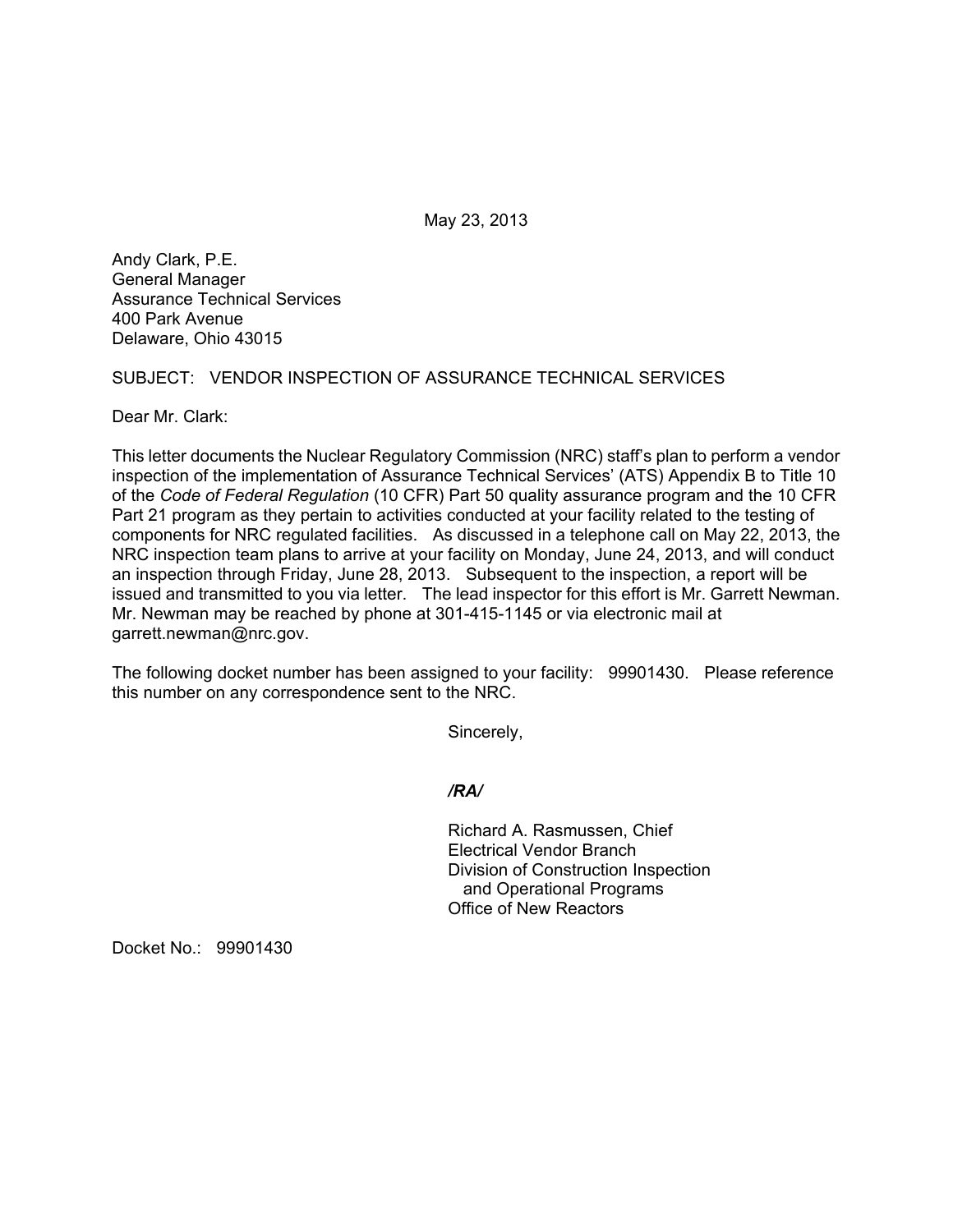May 23, 2013

Andy Clark, P.E. General Manager Assurance Technical Services 400 Park Avenue Delaware, Ohio 43015

SUBJECT: VENDOR INSPECTION OF ASSURANCE TECHNICAL SERVICES

Dear Mr. Clark:

This letter documents the Nuclear Regulatory Commission (NRC) staff's plan to perform a vendor inspection of the implementation of Assurance Technical Services' (ATS) Appendix B to Title 10 of the *Code of Federal Regulation* (10 CFR) Part 50 quality assurance program and the 10 CFR Part 21 program as they pertain to activities conducted at your facility related to the testing of components for NRC regulated facilities. As discussed in a telephone call on May 22, 2013, the NRC inspection team plans to arrive at your facility on Monday, June 24, 2013, and will conduct an inspection through Friday, June 28, 2013. Subsequent to the inspection, a report will be issued and transmitted to you via letter. The lead inspector for this effort is Mr. Garrett Newman. Mr. Newman may be reached by phone at 301-415-1145 or via electronic mail at garrett.newman@nrc.gov.

The following docket number has been assigned to your facility: 99901430. Please reference this number on any correspondence sent to the NRC.

Sincerely,

*/RA/* 

Richard A. Rasmussen, Chief Electrical Vendor Branch Division of Construction Inspection and Operational Programs Office of New Reactors

Docket No.: 99901430